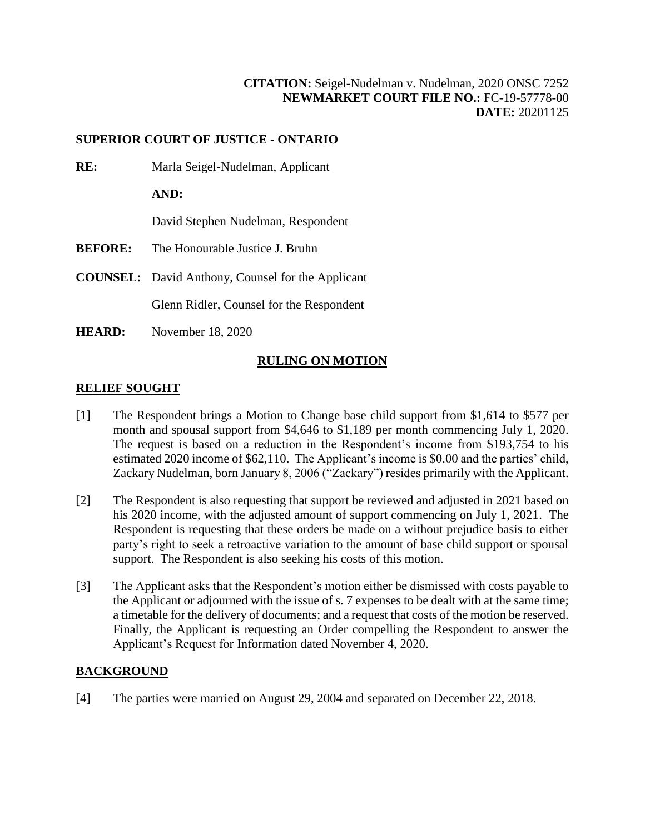## **[CITATION:](http://intra.judicialsecurity.jus.gov.on.ca/NeutralCitation/)** Seigel-Nudelman v. Nudelman, 2020 ONSC 7252 **NEWMARKET COURT FILE NO.:** FC-19-57778-00 **DATE:** 20201125

### **SUPERIOR COURT OF JUSTICE - ONTARIO**

**RE:** Marla Seigel-Nudelman, Applicant

**AND:**

David Stephen Nudelman, Respondent

- **BEFORE:** The Honourable Justice J. Bruhn
- **COUNSEL:** David Anthony, Counsel for the Applicant

Glenn Ridler, Counsel for the Respondent

**HEARD:** November 18, 2020

#### **RULING ON MOTION**

#### **RELIEF SOUGHT**

- [1] The Respondent brings a Motion to Change base child support from \$1,614 to \$577 per month and spousal support from \$4,646 to \$1,189 per month commencing July 1, 2020. The request is based on a reduction in the Respondent's income from \$193,754 to his estimated 2020 income of \$62,110. The Applicant's income is \$0.00 and the parties' child, Zackary Nudelman, born January 8, 2006 ("Zackary") resides primarily with the Applicant.
- [2] The Respondent is also requesting that support be reviewed and adjusted in 2021 based on his 2020 income, with the adjusted amount of support commencing on July 1, 2021. The Respondent is requesting that these orders be made on a without prejudice basis to either party's right to seek a retroactive variation to the amount of base child support or spousal support. The Respondent is also seeking his costs of this motion.
- [3] The Applicant asks that the Respondent's motion either be dismissed with costs payable to the Applicant or adjourned with the issue of s. 7 expenses to be dealt with at the same time; a timetable for the delivery of documents; and a request that costs of the motion be reserved. Finally, the Applicant is requesting an Order compelling the Respondent to answer the Applicant's Request for Information dated November 4, 2020.

#### **BACKGROUND**

[4] The parties were married on August 29, 2004 and separated on December 22, 2018.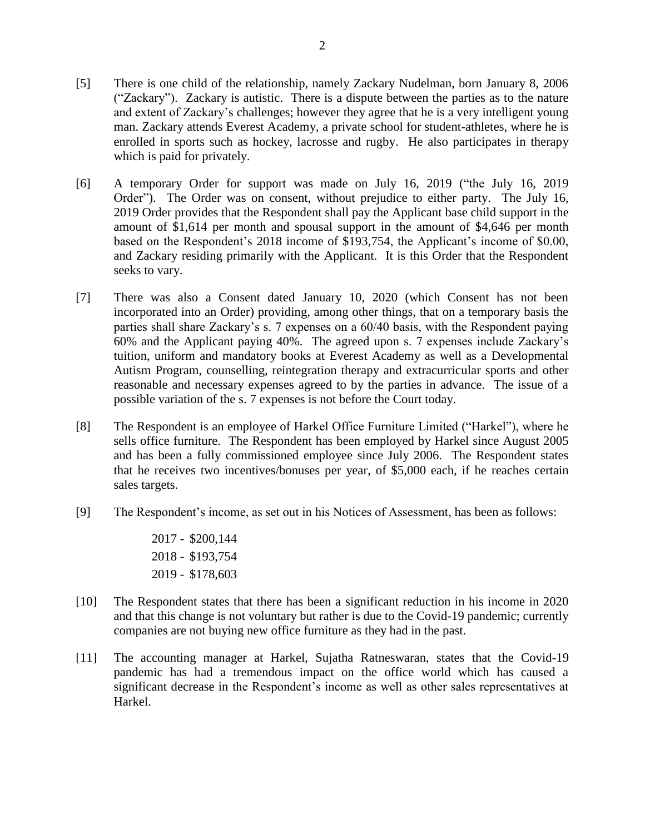- [5] There is one child of the relationship, namely Zackary Nudelman, born January 8, 2006 ("Zackary"). Zackary is autistic. There is a dispute between the parties as to the nature and extent of Zackary's challenges; however they agree that he is a very intelligent young man. Zackary attends Everest Academy, a private school for student-athletes, where he is enrolled in sports such as hockey, lacrosse and rugby. He also participates in therapy which is paid for privately.
- [6] A temporary Order for support was made on July 16, 2019 ("the July 16, 2019 Order"). The Order was on consent, without prejudice to either party. The July 16, 2019 Order provides that the Respondent shall pay the Applicant base child support in the amount of \$1,614 per month and spousal support in the amount of \$4,646 per month based on the Respondent's 2018 income of \$193,754, the Applicant's income of \$0.00, and Zackary residing primarily with the Applicant. It is this Order that the Respondent seeks to vary.
- [7] There was also a Consent dated January 10, 2020 (which Consent has not been incorporated into an Order) providing, among other things, that on a temporary basis the parties shall share Zackary's s. 7 expenses on a 60/40 basis, with the Respondent paying 60% and the Applicant paying 40%. The agreed upon s. 7 expenses include Zackary's tuition, uniform and mandatory books at Everest Academy as well as a Developmental Autism Program, counselling, reintegration therapy and extracurricular sports and other reasonable and necessary expenses agreed to by the parties in advance. The issue of a possible variation of the s. 7 expenses is not before the Court today.
- [8] The Respondent is an employee of Harkel Office Furniture Limited ("Harkel"), where he sells office furniture. The Respondent has been employed by Harkel since August 2005 and has been a fully commissioned employee since July 2006. The Respondent states that he receives two incentives/bonuses per year, of \$5,000 each, if he reaches certain sales targets.
- [9] The Respondent's income, as set out in his Notices of Assessment, has been as follows:

2017 - \$200,144 2018 - \$193,754 2019 - \$178,603

- [10] The Respondent states that there has been a significant reduction in his income in 2020 and that this change is not voluntary but rather is due to the Covid-19 pandemic; currently companies are not buying new office furniture as they had in the past.
- [11] The accounting manager at Harkel, Sujatha Ratneswaran, states that the Covid-19 pandemic has had a tremendous impact on the office world which has caused a significant decrease in the Respondent's income as well as other sales representatives at Harkel.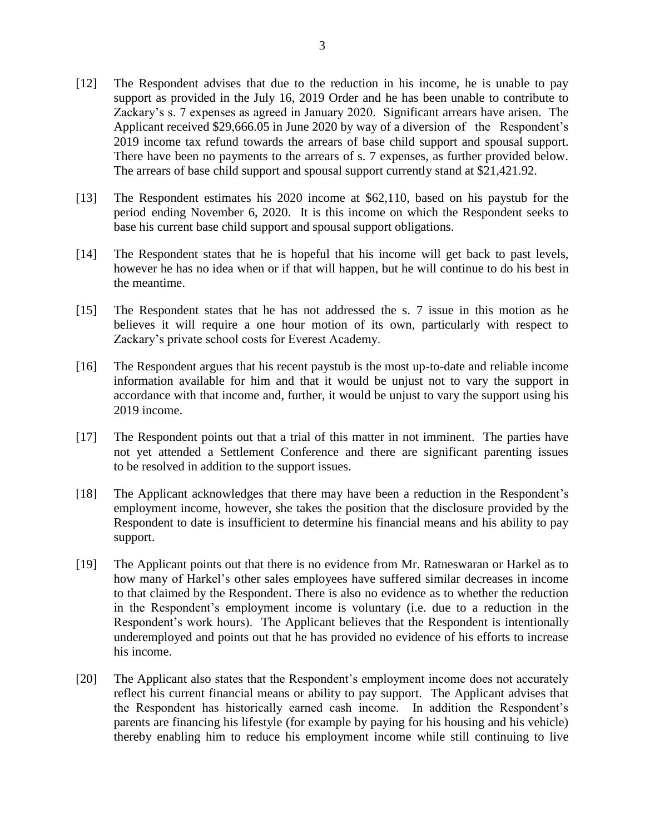- [12] The Respondent advises that due to the reduction in his income, he is unable to pay support as provided in the July 16, 2019 Order and he has been unable to contribute to Zackary's s. 7 expenses as agreed in January 2020. Significant arrears have arisen. The Applicant received \$29,666.05 in June 2020 by way of a diversion of the Respondent's 2019 income tax refund towards the arrears of base child support and spousal support. There have been no payments to the arrears of s. 7 expenses, as further provided below. The arrears of base child support and spousal support currently stand at \$21,421.92.
- [13] The Respondent estimates his 2020 income at \$62,110, based on his paystub for the period ending November 6, 2020. It is this income on which the Respondent seeks to base his current base child support and spousal support obligations.
- [14] The Respondent states that he is hopeful that his income will get back to past levels, however he has no idea when or if that will happen, but he will continue to do his best in the meantime.
- [15] The Respondent states that he has not addressed the s. 7 issue in this motion as he believes it will require a one hour motion of its own, particularly with respect to Zackary's private school costs for Everest Academy.
- [16] The Respondent argues that his recent paystub is the most up-to-date and reliable income information available for him and that it would be unjust not to vary the support in accordance with that income and, further, it would be unjust to vary the support using his 2019 income.
- [17] The Respondent points out that a trial of this matter in not imminent. The parties have not yet attended a Settlement Conference and there are significant parenting issues to be resolved in addition to the support issues.
- [18] The Applicant acknowledges that there may have been a reduction in the Respondent's employment income, however, she takes the position that the disclosure provided by the Respondent to date is insufficient to determine his financial means and his ability to pay support.
- [19] The Applicant points out that there is no evidence from Mr. Ratneswaran or Harkel as to how many of Harkel's other sales employees have suffered similar decreases in income to that claimed by the Respondent. There is also no evidence as to whether the reduction in the Respondent's employment income is voluntary (i.e. due to a reduction in the Respondent's work hours). The Applicant believes that the Respondent is intentionally underemployed and points out that he has provided no evidence of his efforts to increase his income.
- [20] The Applicant also states that the Respondent's employment income does not accurately reflect his current financial means or ability to pay support. The Applicant advises that the Respondent has historically earned cash income. In addition the Respondent's parents are financing his lifestyle (for example by paying for his housing and his vehicle) thereby enabling him to reduce his employment income while still continuing to live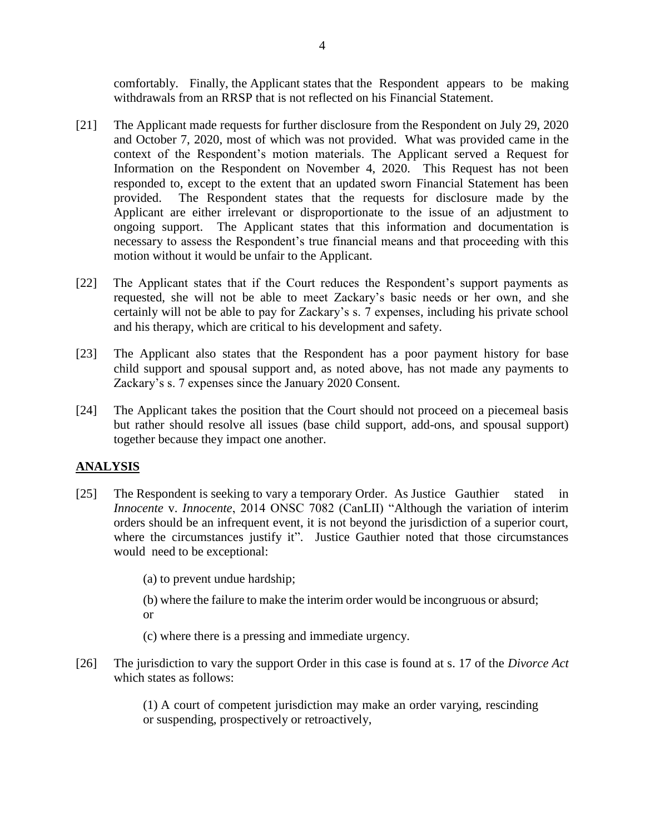comfortably. Finally, the Applicant states that the Respondent appears to be making withdrawals from an RRSP that is not reflected on his Financial Statement.

- [21] The Applicant made requests for further disclosure from the Respondent on July 29, 2020 and October 7, 2020, most of which was not provided. What was provided came in the context of the Respondent's motion materials. The Applicant served a Request for Information on the Respondent on November 4, 2020. This Request has not been responded to, except to the extent that an updated sworn Financial Statement has been provided. The Respondent states that the requests for disclosure made by the Applicant are either irrelevant or disproportionate to the issue of an adjustment to ongoing support. The Applicant states that this information and documentation is necessary to assess the Respondent's true financial means and that proceeding with this motion without it would be unfair to the Applicant.
- [22] The Applicant states that if the Court reduces the Respondent's support payments as requested, she will not be able to meet Zackary's basic needs or her own, and she certainly will not be able to pay for Zackary's s. 7 expenses, including his private school and his therapy, which are critical to his development and safety.
- [23] The Applicant also states that the Respondent has a poor payment history for base child support and spousal support and, as noted above, has not made any payments to Zackary's s. 7 expenses since the January 2020 Consent.
- [24] The Applicant takes the position that the Court should not proceed on a piecemeal basis but rather should resolve all issues (base child support, add-ons, and spousal support) together because they impact one another.

# **ANALYSIS**

- [25] The Respondent is seeking to vary a temporary Order. As Justice Gauthier stated in *Innocente* v. *Innocente*, 2014 ONSC 7082 (CanLII) "Although the variation of interim orders should be an infrequent event, it is not beyond the jurisdiction of a superior court, where the circumstances justify it". Justice Gauthier noted that those circumstances would need to be exceptional:
	- (a) to prevent undue hardship;
	- (b) where the failure to make the interim order would be incongruous or absurd; or
	- (c) where there is a pressing and immediate urgency.
- [26] The jurisdiction to vary the support Order in this case is found at s. 17 of the *Divorce Act* which states as follows:

(1) A court of competent jurisdiction may make an order varying, rescinding or suspending, prospectively or retroactively,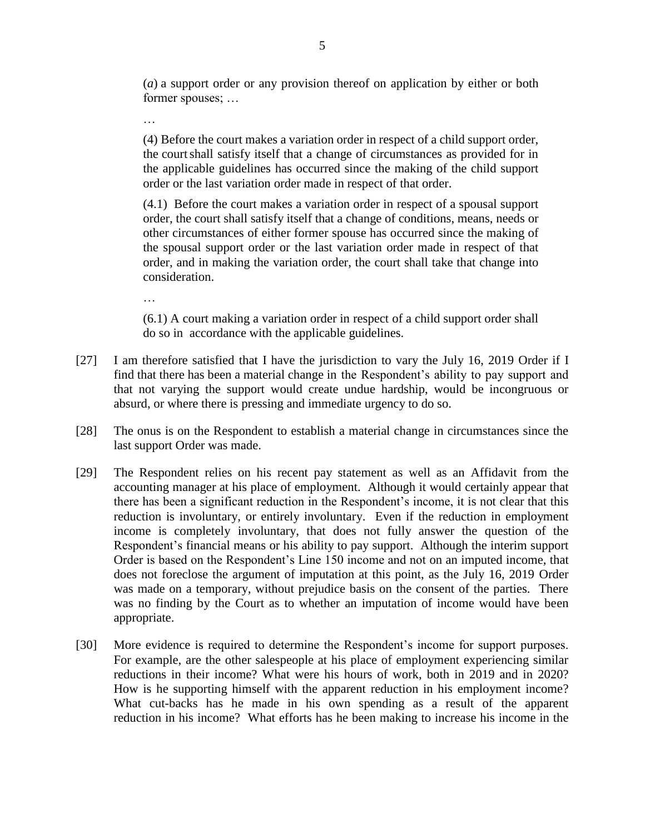(*a*) a support order or any provision thereof on application by either or both former spouses; …

…

(4) Before the court makes a variation order in respect of a child support order, the courtshall satisfy itself that a change of circumstances as provided for in the applicable guidelines has occurred since the making of the child support order or the last variation order made in respect of that order.

(4.1) Before the court makes a variation order in respect of a spousal support order, the court shall satisfy itself that a change of conditions, means, needs or other circumstances of either former spouse has occurred since the making of the spousal support order or the last variation order made in respect of that order, and in making the variation order, the court shall take that change into consideration.

…

(6.1) A court making a variation order in respect of a child support order shall do so in accordance with the applicable guidelines.

- [27] I am therefore satisfied that I have the jurisdiction to vary the July 16, 2019 Order if I find that there has been a material change in the Respondent's ability to pay support and that not varying the support would create undue hardship, would be incongruous or absurd, or where there is pressing and immediate urgency to do so.
- [28] The onus is on the Respondent to establish a material change in circumstances since the last support Order was made.
- [29] The Respondent relies on his recent pay statement as well as an Affidavit from the accounting manager at his place of employment. Although it would certainly appear that there has been a significant reduction in the Respondent's income, it is not clear that this reduction is involuntary, or entirely involuntary. Even if the reduction in employment income is completely involuntary, that does not fully answer the question of the Respondent's financial means or his ability to pay support. Although the interim support Order is based on the Respondent's Line 150 income and not on an imputed income, that does not foreclose the argument of imputation at this point, as the July 16, 2019 Order was made on a temporary, without prejudice basis on the consent of the parties. There was no finding by the Court as to whether an imputation of income would have been appropriate.
- [30] More evidence is required to determine the Respondent's income for support purposes. For example, are the other salespeople at his place of employment experiencing similar reductions in their income? What were his hours of work, both in 2019 and in 2020? How is he supporting himself with the apparent reduction in his employment income? What cut-backs has he made in his own spending as a result of the apparent reduction in his income? What efforts has he been making to increase his income in the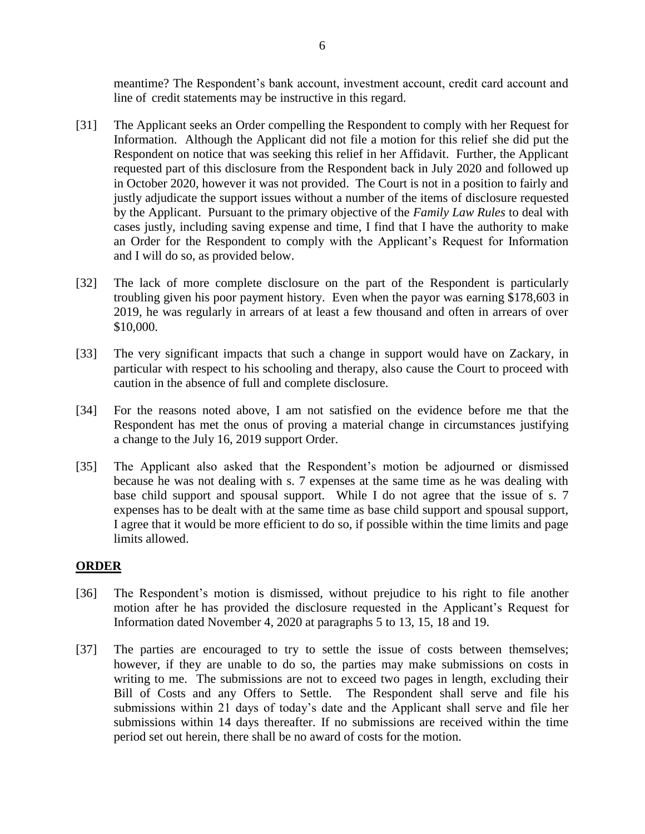meantime? The Respondent's bank account, investment account, credit card account and line of credit statements may be instructive in this regard.

- [31] The Applicant seeks an Order compelling the Respondent to comply with her Request for Information. Although the Applicant did not file a motion for this relief she did put the Respondent on notice that was seeking this relief in her Affidavit. Further, the Applicant requested part of this disclosure from the Respondent back in July 2020 and followed up in October 2020, however it was not provided. The Court is not in a position to fairly and justly adjudicate the support issues without a number of the items of disclosure requested by the Applicant. Pursuant to the primary objective of the *Family Law Rules* to deal with cases justly, including saving expense and time, I find that I have the authority to make an Order for the Respondent to comply with the Applicant's Request for Information and I will do so, as provided below.
- [32] The lack of more complete disclosure on the part of the Respondent is particularly troubling given his poor payment history. Even when the payor was earning \$178,603 in 2019, he was regularly in arrears of at least a few thousand and often in arrears of over \$10,000.
- [33] The very significant impacts that such a change in support would have on Zackary, in particular with respect to his schooling and therapy, also cause the Court to proceed with caution in the absence of full and complete disclosure.
- [34] For the reasons noted above, I am not satisfied on the evidence before me that the Respondent has met the onus of proving a material change in circumstances justifying a change to the July 16, 2019 support Order.
- [35] The Applicant also asked that the Respondent's motion be adjourned or dismissed because he was not dealing with s. 7 expenses at the same time as he was dealing with base child support and spousal support. While I do not agree that the issue of s. 7 expenses has to be dealt with at the same time as base child support and spousal support, I agree that it would be more efficient to do so, if possible within the time limits and page limits allowed.

#### **ORDER**

- [36] The Respondent's motion is dismissed, without prejudice to his right to file another motion after he has provided the disclosure requested in the Applicant's Request for Information dated November 4, 2020 at paragraphs 5 to 13, 15, 18 and 19.
- [37] The parties are encouraged to try to settle the issue of costs between themselves; however, if they are unable to do so, the parties may make submissions on costs in writing to me. The submissions are not to exceed two pages in length, excluding their Bill of Costs and any Offers to Settle. The Respondent shall serve and file his submissions within 21 days of today's date and the Applicant shall serve and file her submissions within 14 days thereafter. If no submissions are received within the time period set out herein, there shall be no award of costs for the motion.